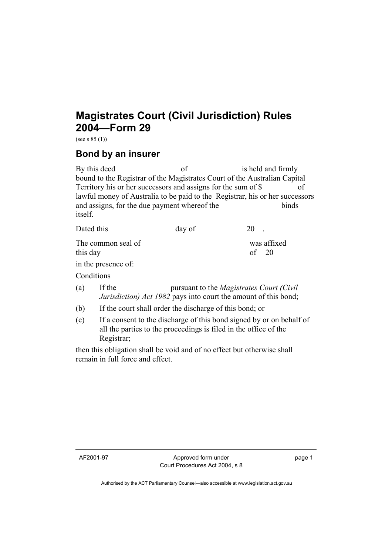## **Magistrates Court (Civil Jurisdiction) Rules 2004—Form 29**

(see s  $85(1)$ )

## **Bond by an insurer**

By this deed of is held and firmly bound to the Registrar of the Magistrates Court of the Australian Capital Territory his or her successors and assigns for the sum of \$ of lawful money of Australia to be paid to the Registrar, his or her successors and assigns, for the due payment whereof the binds itself.

| Dated this                     | day of | 20                     |
|--------------------------------|--------|------------------------|
| The common seal of<br>this day |        | was affixed<br>of $20$ |
| in the presence of:            |        |                        |

**Conditions** 

- (a) If the pursuant to the *Magistrates Court (Civil Jurisdiction) Act 1982* pays into court the amount of this bond;
- (b) If the court shall order the discharge of this bond; or
- (c) If a consent to the discharge of this bond signed by or on behalf of all the parties to the proceedings is filed in the office of the Registrar;

then this obligation shall be void and of no effect but otherwise shall remain in full force and effect.

AF2001-97 Approved form under Court Procedures Act 2004, s 8 page 1

Authorised by the ACT Parliamentary Counsel—also accessible at www.legislation.act.gov.au